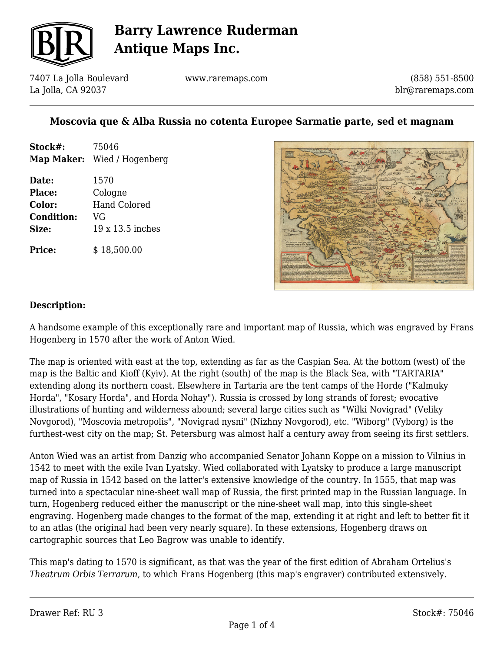

7407 La Jolla Boulevard La Jolla, CA 92037

www.raremaps.com

(858) 551-8500 blr@raremaps.com

## **Moscovia que & Alba Russia no cotenta Europee Sarmatie parte, sed et magnam**

| Stock#:           | 75046                       |
|-------------------|-----------------------------|
|                   | Map Maker: Wied / Hogenberg |
| Date:             | 1570                        |
| <b>Place:</b>     | Cologne                     |
| Color:            | <b>Hand Colored</b>         |
| <b>Condition:</b> | VG                          |
| Size:             | 19 x 13.5 inches            |
| <b>Price:</b>     | \$18,500.00                 |



#### **Description:**

A handsome example of this exceptionally rare and important map of Russia, which was engraved by Frans Hogenberg in 1570 after the work of Anton Wied.

The map is oriented with east at the top, extending as far as the Caspian Sea. At the bottom (west) of the map is the Baltic and Kioff (Kyiv). At the right (south) of the map is the Black Sea, with "TARTARIA" extending along its northern coast. Elsewhere in Tartaria are the tent camps of the Horde ("Kalmuky Horda", "Kosary Horda", and Horda Nohay"). Russia is crossed by long strands of forest; evocative illustrations of hunting and wilderness abound; several large cities such as "Wilki Novigrad" (Veliky Novgorod), "Moscovia metropolis", "Novigrad nysni" (Nizhny Novgorod), etc. "Wiborg" (Vyborg) is the furthest-west city on the map; St. Petersburg was almost half a century away from seeing its first settlers.

Anton Wied was an artist from Danzig who accompanied Senator Johann Koppe on a mission to Vilnius in 1542 to meet with the exile Ivan Lyatsky. Wied collaborated with Lyatsky to produce a large manuscript map of Russia in 1542 based on the latter's extensive knowledge of the country. In 1555, that map was turned into a spectacular nine-sheet wall map of Russia, the first printed map in the Russian language. In turn, Hogenberg reduced either the manuscript or the nine-sheet wall map, into this single-sheet engraving. Hogenberg made changes to the format of the map, extending it at right and left to better fit it to an atlas (the original had been very nearly square). In these extensions, Hogenberg draws on cartographic sources that Leo Bagrow was unable to identify.

This map's dating to 1570 is significant, as that was the year of the first edition of Abraham Ortelius's *Theatrum Orbis Terrarum*, to which Frans Hogenberg (this map's engraver) contributed extensively.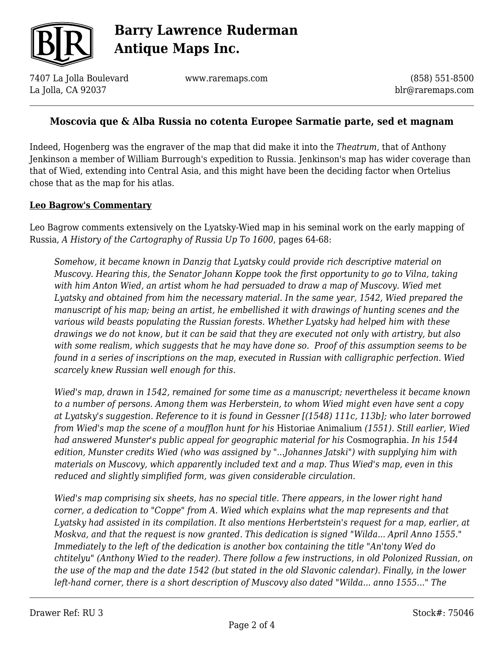

7407 La Jolla Boulevard La Jolla, CA 92037

www.raremaps.com

(858) 551-8500 blr@raremaps.com

### **Moscovia que & Alba Russia no cotenta Europee Sarmatie parte, sed et magnam**

Indeed, Hogenberg was the engraver of the map that did make it into the *Theatrum*, that of Anthony Jenkinson a member of William Burrough's expedition to Russia. Jenkinson's map has wider coverage than that of Wied, extending into Central Asia, and this might have been the deciding factor when Ortelius chose that as the map for his atlas.

#### **Leo Bagrow's Commentary**

Leo Bagrow comments extensively on the Lyatsky-Wied map in his seminal work on the early mapping of Russia, *A History of the Cartography of Russia Up To 1600*, pages 64-68:

*Somehow, it became known in Danzig that Lyatsky could provide rich descriptive material on Muscovy. Hearing this, the Senator Johann Koppe took the first opportunity to go to Vilna, taking with him Anton Wied, an artist whom he had persuaded to draw a map of Muscovy. Wied met Lyatsky and obtained from him the necessary material. In the same year, 1542, Wied prepared the manuscript of his map; being an artist, he embellished it with drawings of hunting scenes and the various wild beasts populating the Russian forests. Whether Lyatsky had helped him with these drawings we do not know, but it can be said that they are executed not only with artistry, but also with some realism, which suggests that he may have done so. Proof of this assumption seems to be found in a series of inscriptions on the map, executed in Russian with calligraphic perfection. Wied scarcely knew Russian well enough for this.*

*Wied's map, drawn in 1542, remained for some time as a manuscript; nevertheless it became known to a number of persons. Among them was Herberstein, to whom Wied might even have sent a copy at Lyatsky's suggestion. Reference to it is found in Gessner [(1548) 111c, 113b]; who later borrowed from Wied's map the scene of a moufflon hunt for his* Historiae Animalium *(1551). Still earlier, Wied had answered Munster's public appeal for geographic material for his* Cosmographia. *In his 1544 edition, Munster credits Wied (who was assigned by "...Johannes Jatski") with supplying him with materials on Muscovy, which apparently included text and a map. Thus Wied's map, even in this reduced and slightly simplified form, was given considerable circulation.*

*Wied's map comprising six sheets, has no special title. There appears, in the lower right hand corner, a dedication to "Coppe" from A. Wied which explains what the map represents and that Lyatsky had assisted in its compilation. It also mentions Herbertstein's request for a map, earlier, at Moskva, and that the request is now granted. This dedication is signed "Wilda... April Anno 1555." Immediately to the left of the dedication is another box containing the title "An'tony Wed do chtitelyu" (Anthony Wied to the reader). There follow a few instructions, in old Polonized Russian, on the use of the map and the date 1542 (but stated in the old Slavonic calendar). Finally, in the lower left-hand corner, there is a short description of Muscovy also dated "Wilda... anno 1555..." The*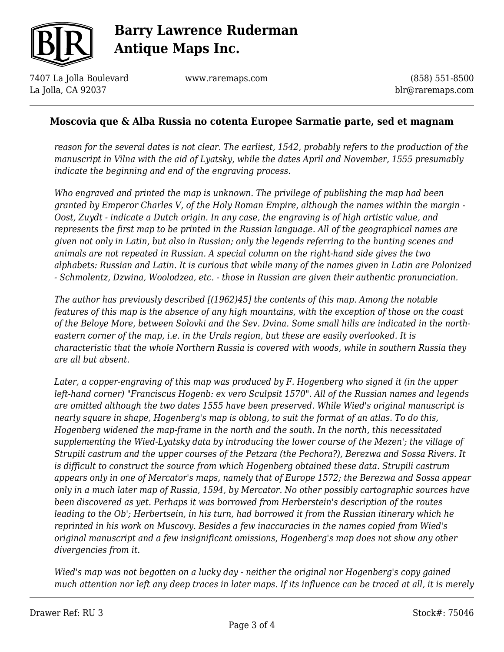

7407 La Jolla Boulevard La Jolla, CA 92037

www.raremaps.com

(858) 551-8500 blr@raremaps.com

### **Moscovia que & Alba Russia no cotenta Europee Sarmatie parte, sed et magnam**

*reason for the several dates is not clear. The earliest, 1542, probably refers to the production of the manuscript in Vilna with the aid of Lyatsky, while the dates April and November, 1555 presumably indicate the beginning and end of the engraving process.*

*Who engraved and printed the map is unknown. The privilege of publishing the map had been granted by Emperor Charles V, of the Holy Roman Empire, although the names within the margin - Oost, Zuydt - indicate a Dutch origin. In any case, the engraving is of high artistic value, and represents the first map to be printed in the Russian language. All of the geographical names are given not only in Latin, but also in Russian; only the legends referring to the hunting scenes and animals are not repeated in Russian. A special column on the right-hand side gives the two alphabets: Russian and Latin. It is curious that while many of the names given in Latin are Polonized - Schmolentz, Dzwina, Woolodzea, etc. - those in Russian are given their authentic pronunciation.*

*The author has previously described [(1962)45] the contents of this map. Among the notable features of this map is the absence of any high mountains, with the exception of those on the coast of the Beloye More, between Solovki and the Sev. Dvina. Some small hills are indicated in the northeastern corner of the map, i.e. in the Urals region, but these are easily overlooked. It is characteristic that the whole Northern Russia is covered with woods, while in southern Russia they are all but absent.*

*Later, a copper-engraving of this map was produced by F. Hogenberg who signed it (in the upper left-hand corner) "Franciscus Hogenb: ex vero Sculpsit 1570". All of the Russian names and legends are omitted although the two dates 1555 have been preserved. While Wied's original manuscript is nearly square in shape, Hogenberg's map is oblong, to suit the format of an atlas. To do this, Hogenberg widened the map-frame in the north and the south. In the north, this necessitated supplementing the Wied-Lyatsky data by introducing the lower course of the Mezen'; the village of Strupili castrum and the upper courses of the Petzara (the Pechora?), Berezwa and Sossa Rivers. It is difficult to construct the source from which Hogenberg obtained these data. Strupili castrum appears only in one of Mercator's maps, namely that of Europe 1572; the Berezwa and Sossa appear only in a much later map of Russia, 1594, by Mercator. No other possibly cartographic sources have been discovered as yet. Perhaps it was borrowed from Herberstein's description of the routes leading to the Ob'; Herbertsein, in his turn, had borrowed it from the Russian itinerary which he reprinted in his work on Muscovy. Besides a few inaccuracies in the names copied from Wied's original manuscript and a few insignificant omissions, Hogenberg's map does not show any other divergencies from it.*

*Wied's map was not begotten on a lucky day - neither the original nor Hogenberg's copy gained much attention nor left any deep traces in later maps. If its influence can be traced at all, it is merely*